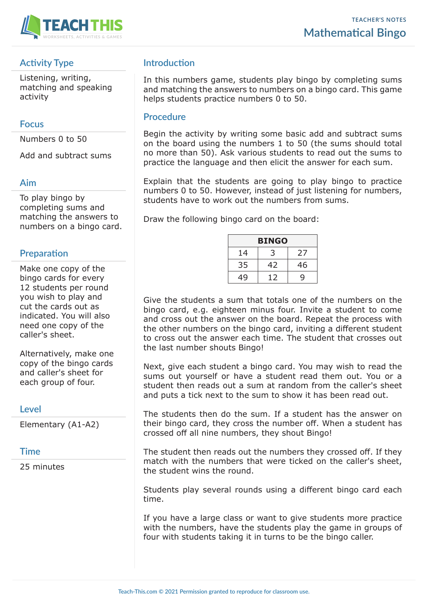

## **Activity Type**

Listening, writing, matching and speaking activity

#### **Focus**

Numbers 0 to 50

Add and subtract sums

#### **Aim**

To play bingo by completing sums and matching the answers to numbers on a bingo card.

## **Preparation**

Make one copy of the bingo cards for every 12 students per round you wish to play and cut the cards out as indicated. You will also need one copy of the caller's sheet.

Alternatively, make one copy of the bingo cards and caller's sheet for each group of four.

#### **Level**

Elementary (A1-A2)

#### **Time**

25 minutes

## **Introduction**

In this numbers game, students play bingo by completing sums and matching the answers to numbers on a bingo card. This game helps students practice numbers 0 to 50.

#### **Procedure**

Begin the activity by writing some basic add and subtract sums on the board using the numbers 1 to 50 (the sums should total no more than 50). Ask various students to read out the sums to practice the language and then elicit the answer for each sum.

Explain that the students are going to play bingo to practice numbers 0 to 50. However, instead of just listening for numbers, students have to work out the numbers from sums.

Draw the following bingo card on the board:

| <b>BINGO</b> |    |    |  |  |  |  |
|--------------|----|----|--|--|--|--|
| 14           |    | 27 |  |  |  |  |
| 35           | 42 | 46 |  |  |  |  |
| 49           | 12 | Q  |  |  |  |  |

Give the students a sum that totals one of the numbers on the bingo card, e.g. eighteen minus four. Invite a student to come and cross out the answer on the board. Repeat the process with the other numbers on the bingo card, inviting a different student to cross out the answer each time. The student that crosses out the last number shouts Bingo!

Next, give each student a bingo card. You may wish to read the sums out yourself or have a student read them out. You or a student then reads out a sum at random from the caller's sheet and puts a tick next to the sum to show it has been read out.

The students then do the sum. If a student has the answer on their bingo card, they cross the number off. When a student has crossed off all nine numbers, they shout Bingo!

The student then reads out the numbers they crossed off. If they match with the numbers that were ticked on the caller's sheet, the student wins the round.

Students play several rounds using a different bingo card each time.

If you have a large class or want to give students more practice with the numbers, have the students play the game in groups of four with students taking it in turns to be the bingo caller.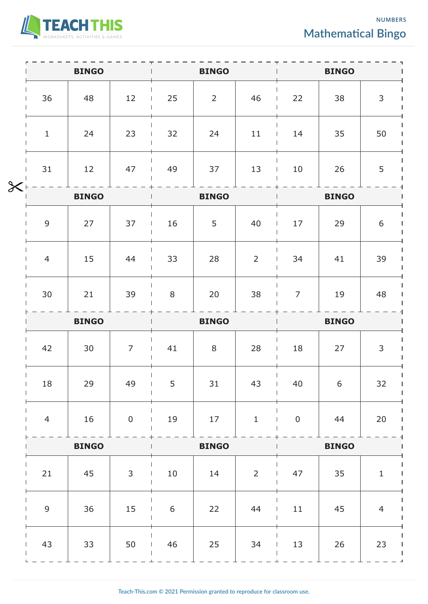

**NUMBERS Mathematical Bingo**

|        | <b>BINGO</b>   |    |                  | <b>BINGO</b>     |                |                | <b>BINGO</b>     |    |                |
|--------|----------------|----|------------------|------------------|----------------|----------------|------------------|----|----------------|
|        | 36             | 48 | 12               | 25               | $\overline{2}$ | 46             | 22               | 38 | $\mathsf{3}$   |
| $\chi$ | $\mathbf{1}$   | 24 | 23               | 32               | 24             | 11             | 14               | 35 | 50             |
|        | 31             | 12 | 47               | 49               | 37             | 13             | 10               | 26 | 5              |
|        | <b>BINGO</b>   |    |                  | <b>BINGO</b>     |                | <b>BINGO</b>   |                  |    |                |
|        | $\overline{9}$ | 27 | 37               | 16               | 5              | 40             | 17               | 29 | $6\,$          |
|        | $\overline{4}$ | 15 | 44               | 33               | 28             | $\overline{2}$ | 34               | 41 | 39             |
|        | 30             | 21 | 39               | 8                | 20             | 38             | $\overline{7}$   | 19 | 48             |
|        | <b>BINGO</b>   |    |                  | <b>BINGO</b>     |                |                | <b>BINGO</b>     |    |                |
|        | 42             | 30 | $\overline{7}$   | 41               | 8              | 28             | 18               | 27 | 3              |
|        | 18             | 29 | 49               | 5                | 31             | 43<br>$\perp$  | 40               | 6  | 32             |
|        | $\overline{4}$ | 16 | $\boldsymbol{0}$ | 19               | 17             | $\mathbf 1$    | $\boldsymbol{0}$ | 44 | 20             |
|        | <b>BINGO</b>   |    |                  | <b>BINGO</b>     |                |                | <b>BINGO</b>     |    |                |
|        | 21             | 45 | $\mathsf{3}$     | $10\,$           | 14             | $\overline{2}$ | 47               | 35 | $\mathbf 1$    |
|        | $\overline{9}$ | 36 | 15               | $\boldsymbol{6}$ | 22             | 44             | 11               | 45 | $\overline{4}$ |
|        | 43             | 33 | 50               | 46               | 25             | 34             | 13               | 26 | 23             |